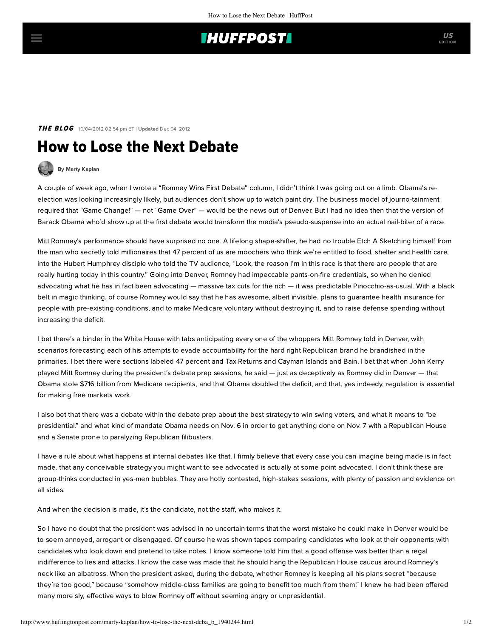## **IHUFFPOSTI**

THE BLOG 10/04/2012 02:54 pm ET | Updated Dec 04, 2012

## How to Lose the Next Debate



A couple of week ago, when I wrotea ["Romney Wins First Debate"](http://www.jewishjournal.com/opinion/article/marty_kaplan_romney_wins_first_debate) column, I didn't think I was going out on a limb. Obama's reelection was looking increasingly likely, but audiences don't show up to watch paint dry. The business model of journo-tainment required that "Game Change!" — not "Game Over" — would be the news out of Denver. But I had no idea then that the version of Barack Obama who'd show up at the first debate would transform the media's pseudo-suspense into an actual nail-biter of a race.

Mitt Romney's performance should have surprised no one. A lifelong shape-shifter, he had no trouble Etch A Sketching himself from the man who secretly told millionaires that 47 percent of us are moochers who think we're entitled to food, shelter and health care, into the Hubert Humphrey disciple who told the TV audience, "Look, the reason I'm in this race is that there are people that are really hurting today in this country." Going into Denver, Romney had impeccable pants-on-fire credentials, so when he denied advocating what he has in fact been advocating — massive tax cuts for the rich — it was predictable Pinocchio-as-usual. With a black belt in magic thinking, of course Romney would say that he has awesome, albeit invisible, plans to guarantee health insurance for people with pre-existing conditions, and to make Medicare voluntary without destroying it, and to raise defense spending without increasing the deficit.

I bet there's a binder in the White House with tabs anticipating every one of the whoppers Mitt Romney told in Denver, with scenarios forecasting each of his attempts to evade accountability for the hard right Republican brand he brandished in the primaries. I bet there were sections labeled 47 percent and Tax Returns and Cayman Islands and Bain. I bet that when John Kerry played Mitt Romney during the president's debate prep sessions, he said — just as deceptively as Romney did in Denver — that Obama stole \$716 billion from Medicare recipients, and that Obama doubled the deficit, and that, yes indeedy, regulation is essential for making free markets work.

I also bet that there was a debate within the debate prep about the best strategy to win swing voters, and what it means to "be presidential," and what kind of mandate Obama needs on Nov. 6 in order to get anything done on Nov. 7 with a Republican House and a Senate prone to paralyzing Republican filibusters.

I have a rule about what happens at internal debates like that. I firmly believe that every case you can imagine being made is in fact made, that any conceivable strategy you might want to see advocated is actually at some point advocated. I don't think these are group-thinks conducted in yes-men bubbles. They are hotly contested, high-stakes sessions, with plenty of passion and evidence on all sides.

And when the decision is made, it's the candidate, not the staff, who makes it.

So I have no doubt that the president was advised in no uncertain terms that the worst mistake he could make in Denver would be to seem annoyed, arrogant or disengaged. Of course he was shown tapes comparing candidates who look at their opponents with candidates who look down and pretend to take notes. I know someone told him that a good offense was better than a regal indifference to lies and attacks. I know the case was made that he should hang the Republican House caucus around Romney's neck like an albatross. When the president asked, during the debate, whether Romney is keeping all his plans secret "because they're too good," because "somehow middle-class families are going to benefit too much from them," I knew he had been offered many more sly, effective ways to blow Romney off without seeming angry or unpresidential.